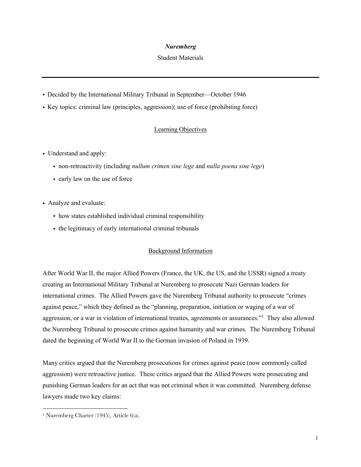## *Nuremberg*

#### Student Materials

- ! Decided by the International Military Tribunal in September—October 1946
- ! Key topics: criminal law (principles, aggression); use of force (prohibiting force)

# Learning Objectives

- Understand and apply:
	- ! non-retroactivity (including *nullum crimen sine lege* and *nulla poena sine lege*)
	- early law on the use of force
- ! Analyze and evaluate:
	- ! how states established individual criminal responsibility
	- ! the legitimacy of early international criminal tribunals

## Background Information

After World War II, the major Allied Powers (France, the UK, the US, and the USSR) signed a treaty creating an International Military Tribunal at Nuremberg to prosecute Nazi German leaders for international crimes. The Allied Powers gave the Nuremberg Tribunal authority to prosecute "crimes against peace," which they defined as the "planning, preparation, initiation or waging of a war of aggression, or a war in violation of international treaties, agreements or assurances."<sup>1</sup> They also allowed the Nuremberg Tribunal to prosecute crimes against humanity and war crimes. The Nuremberg Tribunal dated the beginning of World War II to the German invasion of Poland in 1939.

Many critics argued that the Nuremberg prosecutions for crimes against peace (now commonly called aggression) were retroactive justice. These critics argued that the Allied Powers were prosecuting and punishing German leaders for an act that was not criminal when it was committed. Nuremberg defense lawyers made two key claims:

<sup>1</sup> Nuremberg Charter (1945), Article 6(a).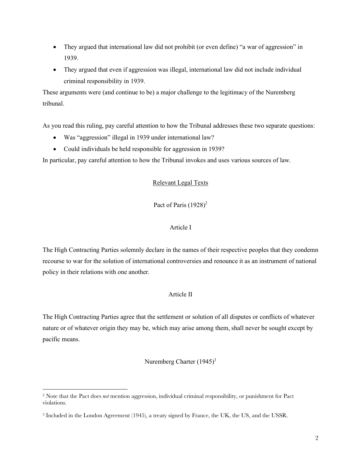- They argued that international law did not prohibit (or even define) "a war of aggression" in 1939.
- They argued that even if aggression was illegal, international law did not include individual criminal responsibility in 1939.

These arguments were (and continue to be) a major challenge to the legitimacy of the Nuremberg tribunal.

As you read this ruling, pay careful attention to how the Tribunal addresses these two separate questions:

- Was "aggression" illegal in 1939 under international law?
- Could individuals be held responsible for aggression in 1939?

In particular, pay careful attention to how the Tribunal invokes and uses various sources of law.

## Relevant Legal Texts

# Pact of Paris  $(1928)^2$

# Article I

The High Contracting Parties solemnly declare in the names of their respective peoples that they condemn recourse to war for the solution of international controversies and renounce it as an instrument of national policy in their relations with one another.

## Article II

The High Contracting Parties agree that the settlement or solution of all disputes or conflicts of whatever nature or of whatever origin they may be, which may arise among them, shall never be sought except by pacific means.

## Nuremberg Charter  $(1945)^3$

<sup>2</sup> Note that the Pact does *not* mention aggression, individual criminal responsibility, or punishment for Pact violations.

<sup>3</sup> Included in the London Agreement (1945), a treaty signed by France, the UK, the US, and the USSR.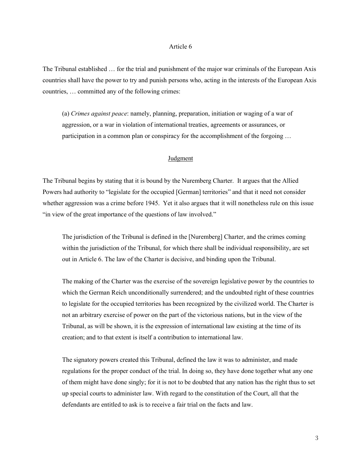#### Article 6

The Tribunal established … for the trial and punishment of the major war criminals of the European Axis countries shall have the power to try and punish persons who, acting in the interests of the European Axis countries, … committed any of the following crimes:

(a) *Crimes against peace*: namely, planning, preparation, initiation or waging of a war of aggression, or a war in violation of international treaties, agreements or assurances, or participation in a common plan or conspiracy for the accomplishment of the forgoing …

#### Judgment

The Tribunal begins by stating that it is bound by the Nuremberg Charter. It argues that the Allied Powers had authority to "legislate for the occupied [German] territories" and that it need not consider whether aggression was a crime before 1945. Yet it also argues that it will nonetheless rule on this issue "in view of the great importance of the questions of law involved."

The jurisdiction of the Tribunal is defined in the [Nuremberg] Charter, and the crimes coming within the jurisdiction of the Tribunal, for which there shall be individual responsibility, are set out in Article 6. The law of the Charter is decisive, and binding upon the Tribunal.

The making of the Charter was the exercise of the sovereign legislative power by the countries to which the German Reich unconditionally surrendered; and the undoubted right of these countries to legislate for the occupied territories has been recognized by the civilized world. The Charter is not an arbitrary exercise of power on the part of the victorious nations, but in the view of the Tribunal, as will be shown, it is the expression of international law existing at the time of its creation; and to that extent is itself a contribution to international law.

The signatory powers created this Tribunal, defined the law it was to administer, and made regulations for the proper conduct of the trial. In doing so, they have done together what any one of them might have done singly; for it is not to be doubted that any nation has the right thus to set up special courts to administer law. With regard to the constitution of the Court, all that the defendants are entitled to ask is to receive a fair trial on the facts and law.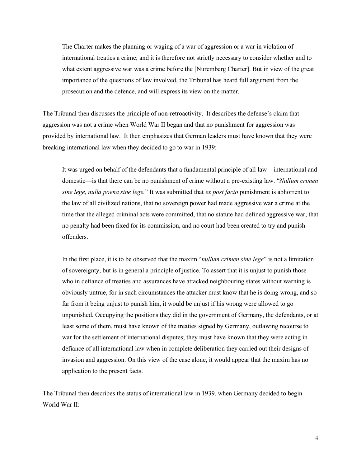The Charter makes the planning or waging of a war of aggression or a war in violation of international treaties a crime; and it is therefore not strictly necessary to consider whether and to what extent aggressive war was a crime before the [Nuremberg Charter]. But in view of the great importance of the questions of law involved, the Tribunal has heard full argument from the prosecution and the defence, and will express its view on the matter.

The Tribunal then discusses the principle of non-retroactivity. It describes the defense's claim that aggression was not a crime when World War II began and that no punishment for aggression was provided by international law. It then emphasizes that German leaders must have known that they were breaking international law when they decided to go to war in 1939:

It was urged on behalf of the defendants that a fundamental principle of all law—international and domestic—is that there can be no punishment of crime without a pre-existing law. "*Nullum crimen sine lege, nulla poena sine lege.*" It was submitted that *ex post facto* punishment is abhorrent to the law of all civilized nations, that no sovereign power had made aggressive war a crime at the time that the alleged criminal acts were committed, that no statute had defined aggressive war, that no penalty had been fixed for its commission, and no court had been created to try and punish offenders.

In the first place, it is to be observed that the maxim "*nullum crimen sine lege*" is not a limitation of sovereignty, but is in general a principle of justice. To assert that it is unjust to punish those who in defiance of treaties and assurances have attacked neighbouring states without warning is obviously untrue, for in such circumstances the attacker must know that he is doing wrong, and so far from it being unjust to punish him, it would be unjust if his wrong were allowed to go unpunished. Occupying the positions they did in the government of Germany, the defendants, or at least some of them, must have known of the treaties signed by Germany, outlawing recourse to war for the settlement of international disputes; they must have known that they were acting in defiance of all international law when in complete deliberation they carried out their designs of invasion and aggression. On this view of the case alone, it would appear that the maxim has no application to the present facts.

The Tribunal then describes the status of international law in 1939, when Germany decided to begin World War II: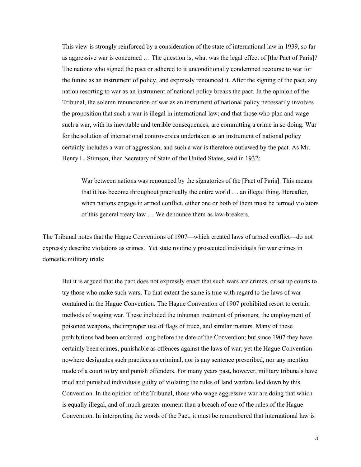This view is strongly reinforced by a consideration of the state of international law in 1939, so far as aggressive war is concerned … The question is, what was the legal effect of [the Pact of Paris]? The nations who signed the pact or adhered to it unconditionally condemned recourse to war for the future as an instrument of policy, and expressly renounced it. After the signing of the pact, any nation resorting to war as an instrument of national policy breaks the pact. In the opinion of the Tribunal, the solemn renunciation of war as an instrument of national policy necessarily involves the proposition that such a war is illegal in international law; and that those who plan and wage such a war, with its inevitable and terrible consequences, are committing a crime in so doing. War for the solution of international controversies undertaken as an instrument of national policy certainly includes a war of aggression, and such a war is therefore outlawed by the pact. As Mr. Henry L. Stimson, then Secretary of State of the United States, said in 1932:

War between nations was renounced by the signatories of the [Pact of Paris]. This means that it has become throughout practically the entire world … an illegal thing. Hereafter, when nations engage in armed conflict, either one or both of them must be termed violators of this general treaty law … We denounce them as law-breakers.

The Tribunal notes that the Hague Conventions of 1907—which created laws of armed conflict—do not expressly describe violations as crimes. Yet state routinely prosecuted individuals for war crimes in domestic military trials:

But it is argued that the pact does not expressly enact that such wars are crimes, or set up courts to try those who make such wars. To that extent the same is true with regard to the laws of war contained in the Hague Convention. The Hague Convention of 1907 prohibited resort to certain methods of waging war. These included the inhuman treatment of prisoners, the employment of poisoned weapons, the improper use of flags of truce, and similar matters. Many of these prohibitions had been enforced long before the date of the Convention; but since 1907 they have certainly been crimes, punishable as offences against the laws of war; yet the Hague Convention nowhere designates such practices as criminal, nor is any sentence prescribed, nor any mention made of a court to try and punish offenders. For many years past, however, military tribunals have tried and punished individuals guilty of violating the rules of land warfare laid down by this Convention. In the opinion of the Tribunal, those who wage aggressive war are doing that which is equally illegal, and of much greater moment than a breach of one of the rules of the Hague Convention. In interpreting the words of the Pact, it must be remembered that international law is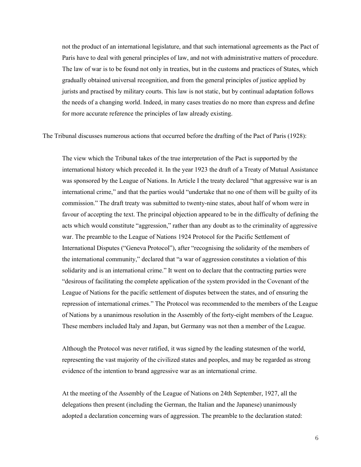not the product of an international legislature, and that such international agreements as the Pact of Paris have to deal with general principles of law, and not with administrative matters of procedure. The law of war is to be found not only in treaties, but in the customs and practices of States, which gradually obtained universal recognition, and from the general principles of justice applied by jurists and practised by military courts. This law is not static, but by continual adaptation follows the needs of a changing world. Indeed, in many cases treaties do no more than express and define for more accurate reference the principles of law already existing.

The Tribunal discusses numerous actions that occurred before the drafting of the Pact of Paris (1928):

The view which the Tribunal takes of the true interpretation of the Pact is supported by the international history which preceded it. In the year 1923 the draft of a Treaty of Mutual Assistance was sponsored by the League of Nations. In Article I the treaty declared "that aggressive war is an international crime," and that the parties would "undertake that no one of them will be guilty of its commission." The draft treaty was submitted to twenty-nine states, about half of whom were in favour of accepting the text. The principal objection appeared to be in the difficulty of defining the acts which would constitute "aggression," rather than any doubt as to the criminality of aggressive war. The preamble to the League of Nations 1924 Protocol for the Pacific Settlement of International Disputes ("Geneva Protocol"), after "recognising the solidarity of the members of the international community," declared that "a war of aggression constitutes a violation of this solidarity and is an international crime." It went on to declare that the contracting parties were "desirous of facilitating the complete application of the system provided in the Covenant of the League of Nations for the pacific settlement of disputes between the states, and of ensuring the repression of international crimes." The Protocol was recommended to the members of the League of Nations by a unanimous resolution in the Assembly of the forty-eight members of the League. These members included Italy and Japan, but Germany was not then a member of the League.

Although the Protocol was never ratified, it was signed by the leading statesmen of the world, representing the vast majority of the civilized states and peoples, and may be regarded as strong evidence of the intention to brand aggressive war as an international crime.

At the meeting of the Assembly of the League of Nations on 24th September, 1927, all the delegations then present (including the German, the Italian and the Japanese) unanimously adopted a declaration concerning wars of aggression. The preamble to the declaration stated: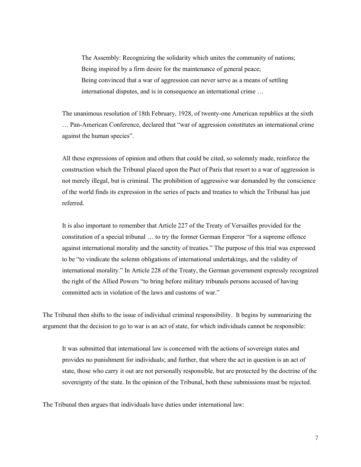The Assembly: Recognizing the solidarity which unites the community of nations; Being inspired by a firm desire for the maintenance of general peace; Being convinced that a war of aggression can never serve as a means of settling international disputes, and is in consequence an international crime …

The unanimous resolution of 18th February, 1928, of twenty-one American republics at the sixth … Pan-American Conference, declared that "war of aggression constitutes an international crime against the human species".

All these expressions of opinion and others that could be cited, so solemnly made, reinforce the construction which the Tribunal placed upon the Pact of Paris that resort to a war of aggression is not merely illegal, but is criminal. The prohibition of aggressive war demanded by the conscience of the world finds its expression in the series of pacts and treaties to which the Tribunal has just referred.

It is also important to remember that Article 227 of the Treaty of Versailles provided for the constitution of a special tribunal … to try the former German Emperor "for a supreme offence against international morality and the sanctity of treaties." The purpose of this trial was expressed to be "to vindicate the solemn obligations of international undertakings, and the validity of international morality." In Article 228 of the Treaty, the German government expressly recognized the right of the Allied Powers "to bring before military tribunals persons accused of having committed acts in violation of the laws and customs of war."

The Tribunal then shifts to the issue of individual criminal responsibility. It begins by summarizing the argument that the decision to go to war is an act of state, for which individuals cannot be responsible:

It was submitted that international law is concerned with the actions of sovereign states and provides no punishment for individuals; and further, that where the act in question is an act of state, those who carry it out are not personally responsible, but are protected by the doctrine of the sovereignty of the state. In the opinion of the Tribunal, both these submissions must be rejected.

The Tribunal then argues that individuals have duties under international law: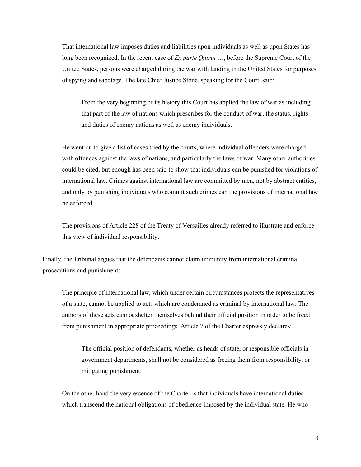That international law imposes duties and liabilities upon individuals as well as upon States has long been recognized. In the recent case of *Ex parte Quirin* …, before the Supreme Court of the United States, persons were charged during the war with landing in the United States for purposes of spying and sabotage. The late Chief Justice Stone, speaking for the Court, said:

From the very beginning of its history this Court has applied the law of war as including that part of the law of nations which prescribes for the conduct of war, the status, rights and duties of enemy nations as well as enemy individuals.

He went on to give a list of cases tried by the courts, where individual offenders were charged with offences against the laws of nations, and particularly the laws of war. Many other authorities could be cited, but enough has been said to show that individuals can be punished for violations of international law. Crimes against international law are committed by men, not by abstract entities, and only by punishing individuals who commit such crimes can the provisions of international law be enforced.

The provisions of Article 228 of the Treaty of Versailles already referred to illustrate and enforce this view of individual responsibility.

Finally, the Tribunal argues that the defendants cannot claim immunity from international criminal prosecutions and punishment:

The principle of international law, which under certain circumstances protects the representatives of a state, cannot be applied to acts which are condemned as criminal by international law. The authors of these acts cannot shelter themselves behind their official position in order to be freed from punishment in appropriate proceedings. Article 7 of the Charter expressly declares:

The official position of defendants, whether as heads of state, or responsible officials in government departments, shall not be considered as freeing them from responsibility, or mitigating punishment.

On the other hand the very essence of the Charter is that individuals have international duties which transcend the national obligations of obedience imposed by the individual state. He who